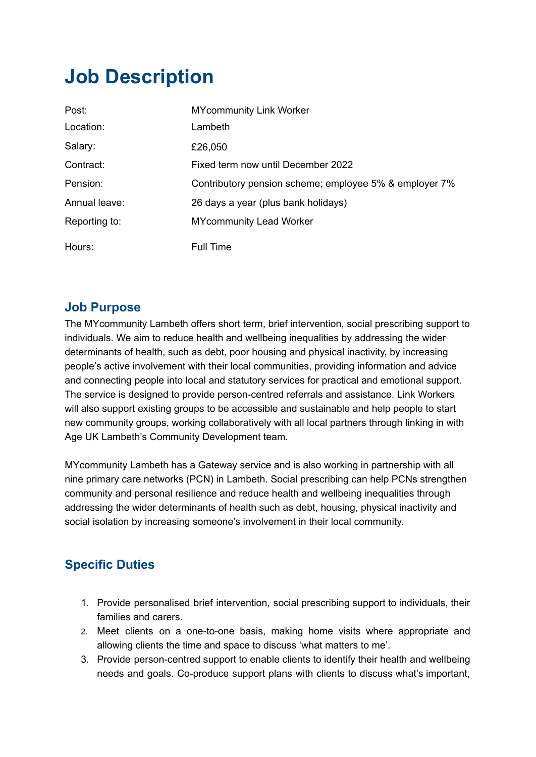# **Job Description**

| Post:         | <b>MYcommunity Link Worker</b>                         |
|---------------|--------------------------------------------------------|
| Location:     | Lambeth                                                |
| Salary:       | £26,050                                                |
| Contract:     | Fixed term now until December 2022                     |
| Pension:      | Contributory pension scheme; employee 5% & employer 7% |
| Annual leave: | 26 days a year (plus bank holidays)                    |
| Reporting to: | <b>MYcommunity Lead Worker</b>                         |
| Hours:        | <b>Full Time</b>                                       |

#### **Job Purpose**

The MYcommunity Lambeth offers short term, brief intervention, social prescribing support to individuals. We aim to reduce health and wellbeing inequalities by addressing the wider determinants of health, such as debt, poor housing and physical inactivity, by increasing people's active involvement with their local communities, providing information and advice and connecting people into local and statutory services for practical and emotional support. The service is designed to provide person-centred referrals and assistance. Link Workers will also support existing groups to be accessible and sustainable and help people to start new community groups, working collaboratively with all local partners through linking in with Age UK Lambeth's Community Development team.

MYcommunity Lambeth has a Gateway service and is also working in partnership with all nine primary care networks (PCN) in Lambeth. Social prescribing can help PCNs strengthen community and personal resilience and reduce health and wellbeing inequalities through addressing the wider determinants of health such as debt, housing, physical inactivity and social isolation by increasing someone's involvement in their local community.

### **Specific Duties**

- 1. Provide personalised brief intervention, social prescribing support to individuals, their families and carers.
- 2. Meet clients on a one-to-one basis, making home visits where appropriate and allowing clients the time and space to discuss 'what matters to me'.
- 3. Provide person-centred support to enable clients to identify their health and wellbeing needs and goals. Co-produce support plans with clients to discuss what's important,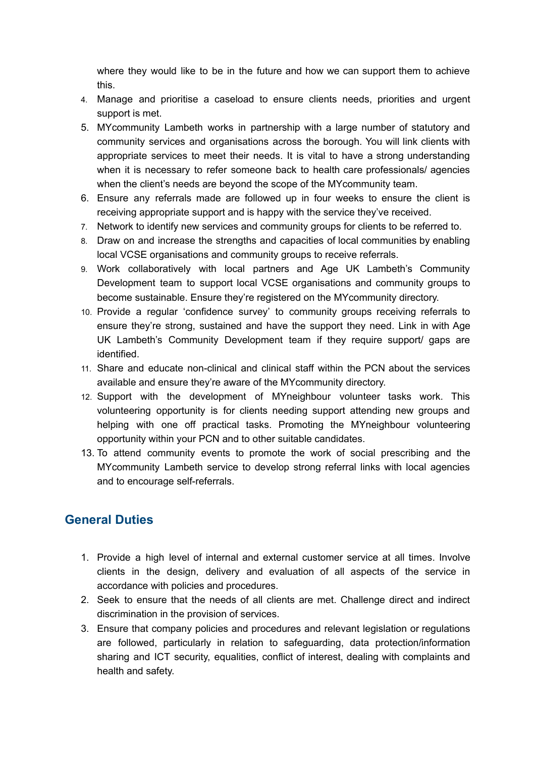where they would like to be in the future and how we can support them to achieve this.

- 4. Manage and prioritise a caseload to ensure clients needs, priorities and urgent support is met.
- 5. MYcommunity Lambeth works in partnership with a large number of statutory and community services and organisations across the borough. You will link clients with appropriate services to meet their needs. It is vital to have a strong understanding when it is necessary to refer someone back to health care professionals/ agencies when the client's needs are beyond the scope of the MYcommunity team.
- 6. Ensure any referrals made are followed up in four weeks to ensure the client is receiving appropriate support and is happy with the service they've received.
- 7. Network to identify new services and community groups for clients to be referred to.
- 8. Draw on and increase the strengths and capacities of local communities by enabling local VCSE organisations and community groups to receive referrals.
- 9. Work collaboratively with local partners and Age UK Lambeth's Community Development team to support local VCSE organisations and community groups to become sustainable. Ensure they're registered on the MYcommunity directory.
- 10. Provide a regular 'confidence survey' to community groups receiving referrals to ensure they're strong, sustained and have the support they need. Link in with Age UK Lambeth's Community Development team if they require support/ gaps are identified.
- 11. Share and educate non-clinical and clinical staff within the PCN about the services available and ensure they're aware of the MYcommunity directory.
- 12. Support with the development of MYneighbour volunteer tasks work. This volunteering opportunity is for clients needing support attending new groups and helping with one off practical tasks. Promoting the MYneighbour volunteering opportunity within your PCN and to other suitable candidates.
- 13. To attend community events to promote the work of social prescribing and the MYcommunity Lambeth service to develop strong referral links with local agencies and to encourage self-referrals.

### **General Duties**

- 1. Provide a high level of internal and external customer service at all times. Involve clients in the design, delivery and evaluation of all aspects of the service in accordance with policies and procedures.
- 2. Seek to ensure that the needs of all clients are met. Challenge direct and indirect discrimination in the provision of services.
- 3. Ensure that company policies and procedures and relevant legislation or regulations are followed, particularly in relation to safeguarding, data protection/information sharing and ICT security, equalities, conflict of interest, dealing with complaints and health and safety.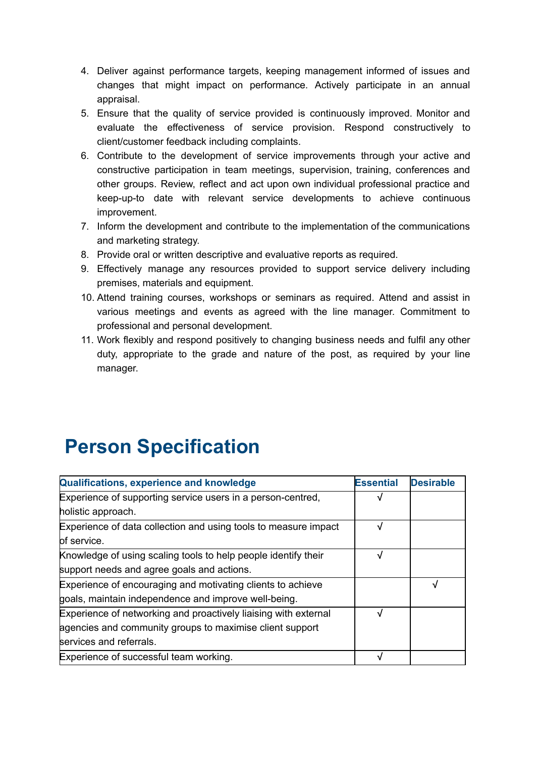- 4. Deliver against performance targets, keeping management informed of issues and changes that might impact on performance. Actively participate in an annual appraisal.
- 5. Ensure that the quality of service provided is continuously improved. Monitor and evaluate the effectiveness of service provision. Respond constructively to client/customer feedback including complaints.
- 6. Contribute to the development of service improvements through your active and constructive participation in team meetings, supervision, training, conferences and other groups. Review, reflect and act upon own individual professional practice and keep-up-to date with relevant service developments to achieve continuous improvement.
- 7. Inform the development and contribute to the implementation of the communications and marketing strategy.
- 8. Provide oral or written descriptive and evaluative reports as required.
- 9. Effectively manage any resources provided to support service delivery including premises, materials and equipment.
- 10. Attend training courses, workshops or seminars as required. Attend and assist in various meetings and events as agreed with the line manager. Commitment to professional and personal development.
- 11. Work flexibly and respond positively to changing business needs and fulfil any other duty, appropriate to the grade and nature of the post, as required by your line manager.

## **Person Specification**

| Qualifications, experience and knowledge                        | <b>Essential</b> | <b>Desirable</b> |
|-----------------------------------------------------------------|------------------|------------------|
| Experience of supporting service users in a person-centred,     |                  |                  |
| holistic approach.                                              |                  |                  |
| Experience of data collection and using tools to measure impact | √                |                  |
| of service.                                                     |                  |                  |
| Knowledge of using scaling tools to help people identify their  | √                |                  |
| support needs and agree goals and actions.                      |                  |                  |
| Experience of encouraging and motivating clients to achieve     |                  |                  |
| goals, maintain independence and improve well-being.            |                  |                  |
| Experience of networking and proactively liaising with external |                  |                  |
| agencies and community groups to maximise client support        |                  |                  |
| services and referrals.                                         |                  |                  |
| Experience of successful team working.                          |                  |                  |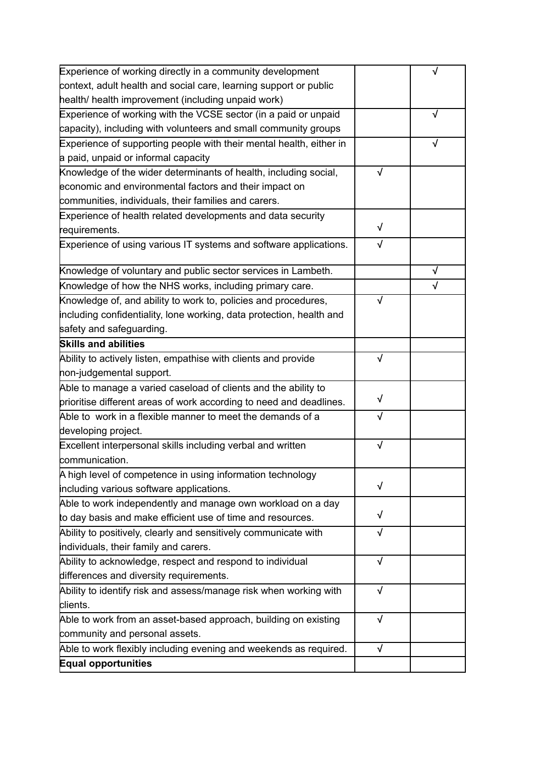| Experience of working directly in a community development            |            |           |
|----------------------------------------------------------------------|------------|-----------|
| context, adult health and social care, learning support or public    |            |           |
| health/ health improvement (including unpaid work)                   |            |           |
| Experience of working with the VCSE sector (in a paid or unpaid      |            | √         |
| capacity), including with volunteers and small community groups      |            |           |
| Experience of supporting people with their mental health, either in  |            | √         |
| a paid, unpaid or informal capacity                                  |            |           |
| Knowledge of the wider determinants of health, including social,     | $\sqrt{}$  |           |
| economic and environmental factors and their impact on               |            |           |
| communities, individuals, their families and carers.                 |            |           |
| Experience of health related developments and data security          |            |           |
| requirements.                                                        | $\sqrt{}$  |           |
| Experience of using various IT systems and software applications.    | √          |           |
| Knowledge of voluntary and public sector services in Lambeth.        |            | √         |
| Knowledge of how the NHS works, including primary care.              |            | $\sqrt{}$ |
| Knowledge of, and ability to work to, policies and procedures,       |            |           |
| including confidentiality, lone working, data protection, health and |            |           |
| safety and safeguarding.                                             |            |           |
| <b>Skills and abilities</b>                                          |            |           |
| Ability to actively listen, empathise with clients and provide       | $\sqrt{ }$ |           |
| hon-judgemental support.                                             |            |           |
| Able to manage a varied caseload of clients and the ability to       |            |           |
| prioritise different areas of work according to need and deadlines.  | √          |           |
| Able to work in a flexible manner to meet the demands of a           | √          |           |
| developing project.                                                  |            |           |
| Excellent interpersonal skills including verbal and written          | $\sqrt{}$  |           |
| communication.                                                       |            |           |
| A high level of competence in using information technology           |            |           |
| including various software applications.                             | √          |           |
| Able to work independently and manage own workload on a day          |            |           |
| to day basis and make efficient use of time and resources.           | √          |           |
| Ability to positively, clearly and sensitively communicate with      | $\sqrt{2}$ |           |
| individuals, their family and carers.                                |            |           |
| Ability to acknowledge, respect and respond to individual            | $\sqrt{ }$ |           |
| differences and diversity requirements.                              |            |           |
| Ability to identify risk and assess/manage risk when working with    | $\sqrt{ }$ |           |
| clients.                                                             |            |           |
| Able to work from an asset-based approach, building on existing      | $\sqrt{ }$ |           |
| community and personal assets.                                       |            |           |
| Able to work flexibly including evening and weekends as required.    | $\sqrt{}$  |           |
| <b>Equal opportunities</b>                                           |            |           |